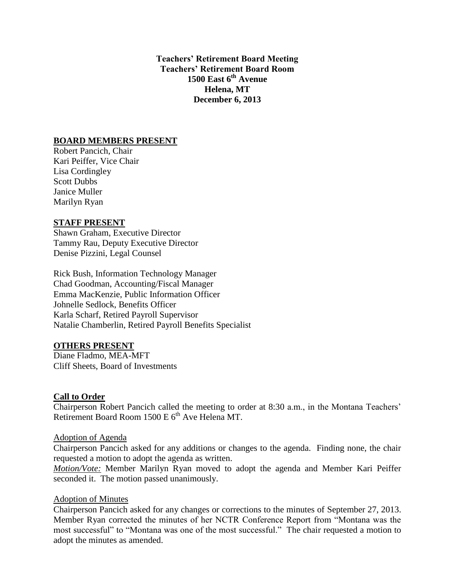**Teachers' Retirement Board Meeting Teachers' Retirement Board Room 1500 East 6th Avenue Helena, MT December 6, 2013**

# **BOARD MEMBERS PRESENT**

Robert Pancich, Chair Kari Peiffer, Vice Chair Lisa Cordingley Scott Dubbs Janice Muller Marilyn Ryan

# **STAFF PRESENT**

Shawn Graham, Executive Director Tammy Rau, Deputy Executive Director Denise Pizzini, Legal Counsel

Rick Bush, Information Technology Manager Chad Goodman, Accounting/Fiscal Manager Emma MacKenzie, Public Information Officer Johnelle Sedlock, Benefits Officer Karla Scharf, Retired Payroll Supervisor Natalie Chamberlin, Retired Payroll Benefits Specialist

# **OTHERS PRESENT**

Diane Fladmo, MEA-MFT Cliff Sheets, Board of Investments

# **Call to Order**

Chairperson Robert Pancich called the meeting to order at 8:30 a.m., in the Montana Teachers' Retirement Board Room 1500 E 6<sup>th</sup> Ave Helena MT.

# Adoption of Agenda

Chairperson Pancich asked for any additions or changes to the agenda. Finding none, the chair requested a motion to adopt the agenda as written.

*Motion/Vote:* Member Marilyn Ryan moved to adopt the agenda and Member Kari Peiffer seconded it. The motion passed unanimously.

# Adoption of Minutes

Chairperson Pancich asked for any changes or corrections to the minutes of September 27, 2013. Member Ryan corrected the minutes of her NCTR Conference Report from "Montana was the most successful" to "Montana was one of the most successful." The chair requested a motion to adopt the minutes as amended.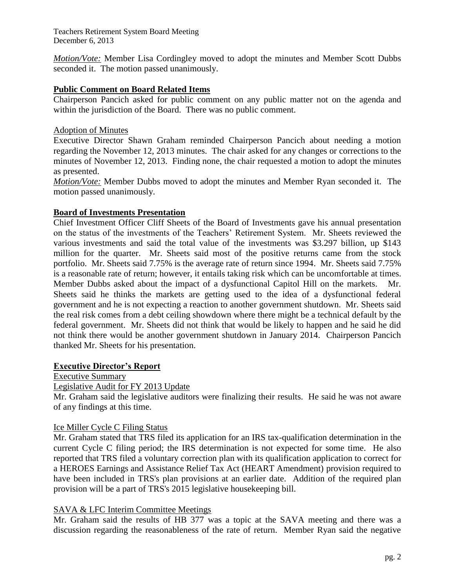*Motion/Vote:* Member Lisa Cordingley moved to adopt the minutes and Member Scott Dubbs seconded it. The motion passed unanimously.

# **Public Comment on Board Related Items**

Chairperson Pancich asked for public comment on any public matter not on the agenda and within the jurisdiction of the Board. There was no public comment.

# Adoption of Minutes

Executive Director Shawn Graham reminded Chairperson Pancich about needing a motion regarding the November 12, 2013 minutes. The chair asked for any changes or corrections to the minutes of November 12, 2013. Finding none, the chair requested a motion to adopt the minutes as presented.

*Motion/Vote:* Member Dubbs moved to adopt the minutes and Member Ryan seconded it. The motion passed unanimously.

# **Board of Investments Presentation**

Chief Investment Officer Cliff Sheets of the Board of Investments gave his annual presentation on the status of the investments of the Teachers' Retirement System. Mr. Sheets reviewed the various investments and said the total value of the investments was \$3.297 billion, up \$143 million for the quarter. Mr. Sheets said most of the positive returns came from the stock portfolio. Mr. Sheets said 7.75% is the average rate of return since 1994. Mr. Sheets said 7.75% is a reasonable rate of return; however, it entails taking risk which can be uncomfortable at times. Member Dubbs asked about the impact of a dysfunctional Capitol Hill on the markets. Mr. Sheets said he thinks the markets are getting used to the idea of a dysfunctional federal government and he is not expecting a reaction to another government shutdown. Mr. Sheets said the real risk comes from a debt ceiling showdown where there might be a technical default by the federal government. Mr. Sheets did not think that would be likely to happen and he said he did not think there would be another government shutdown in January 2014. Chairperson Pancich thanked Mr. Sheets for his presentation.

# **Executive Director's Report**

Executive Summary

Legislative Audit for FY 2013 Update

Mr. Graham said the legislative auditors were finalizing their results. He said he was not aware of any findings at this time.

# Ice Miller Cycle C Filing Status

Mr. Graham stated that TRS filed its application for an IRS tax-qualification determination in the current Cycle C filing period; the IRS determination is not expected for some time. He also reported that TRS filed a voluntary correction plan with its qualification application to correct for a HEROES Earnings and Assistance Relief Tax Act (HEART Amendment) provision required to have been included in TRS's plan provisions at an earlier date. Addition of the required plan provision will be a part of TRS's 2015 legislative housekeeping bill.

# SAVA & LFC Interim Committee Meetings

Mr. Graham said the results of HB 377 was a topic at the SAVA meeting and there was a discussion regarding the reasonableness of the rate of return. Member Ryan said the negative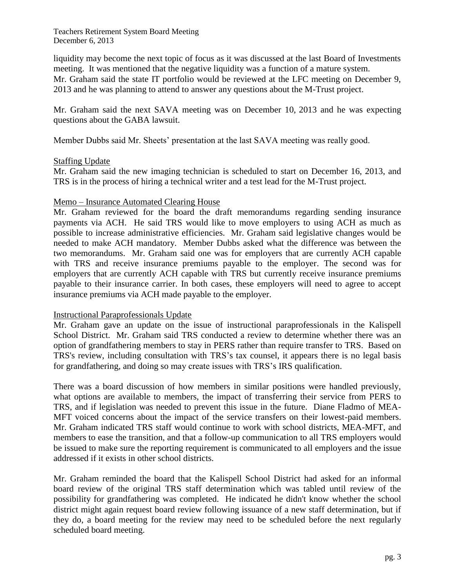liquidity may become the next topic of focus as it was discussed at the last Board of Investments meeting. It was mentioned that the negative liquidity was a function of a mature system.

Mr. Graham said the state IT portfolio would be reviewed at the LFC meeting on December 9, 2013 and he was planning to attend to answer any questions about the M-Trust project.

Mr. Graham said the next SAVA meeting was on December 10, 2013 and he was expecting questions about the GABA lawsuit.

Member Dubbs said Mr. Sheets' presentation at the last SAVA meeting was really good.

# Staffing Update

Mr. Graham said the new imaging technician is scheduled to start on December 16, 2013, and TRS is in the process of hiring a technical writer and a test lead for the M-Trust project.

# Memo – Insurance Automated Clearing House

Mr. Graham reviewed for the board the draft memorandums regarding sending insurance payments via ACH. He said TRS would like to move employers to using ACH as much as possible to increase administrative efficiencies. Mr. Graham said legislative changes would be needed to make ACH mandatory. Member Dubbs asked what the difference was between the two memorandums. Mr. Graham said one was for employers that are currently ACH capable with TRS and receive insurance premiums payable to the employer. The second was for employers that are currently ACH capable with TRS but currently receive insurance premiums payable to their insurance carrier. In both cases, these employers will need to agree to accept insurance premiums via ACH made payable to the employer.

# Instructional Paraprofessionals Update

Mr. Graham gave an update on the issue of instructional paraprofessionals in the Kalispell School District. Mr. Graham said TRS conducted a review to determine whether there was an option of grandfathering members to stay in PERS rather than require transfer to TRS. Based on TRS's review, including consultation with TRS's tax counsel, it appears there is no legal basis for grandfathering, and doing so may create issues with TRS's IRS qualification.

There was a board discussion of how members in similar positions were handled previously, what options are available to members, the impact of transferring their service from PERS to TRS, and if legislation was needed to prevent this issue in the future. Diane Fladmo of MEA-MFT voiced concerns about the impact of the service transfers on their lowest-paid members. Mr. Graham indicated TRS staff would continue to work with school districts, MEA-MFT, and members to ease the transition, and that a follow-up communication to all TRS employers would be issued to make sure the reporting requirement is communicated to all employers and the issue addressed if it exists in other school districts.

Mr. Graham reminded the board that the Kalispell School District had asked for an informal board review of the original TRS staff determination which was tabled until review of the possibility for grandfathering was completed. He indicated he didn't know whether the school district might again request board review following issuance of a new staff determination, but if they do, a board meeting for the review may need to be scheduled before the next regularly scheduled board meeting.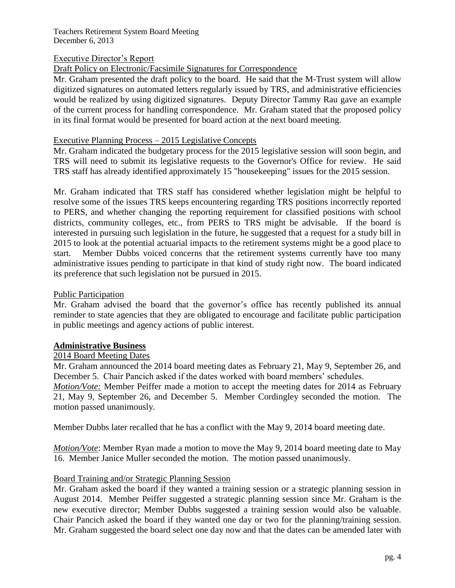# Executive Director's Report

Draft Policy on Electronic/Facsimile Signatures for Correspondence

Mr. Graham presented the draft policy to the board. He said that the M-Trust system will allow digitized signatures on automated letters regularly issued by TRS, and administrative efficiencies would be realized by using digitized signatures. Deputy Director Tammy Rau gave an example of the current process for handling correspondence. Mr. Graham stated that the proposed policy in its final format would be presented for board action at the next board meeting.

#### Executive Planning Process – 2015 Legislative Concepts

Mr. Graham indicated the budgetary process for the 2015 legislative session will soon begin, and TRS will need to submit its legislative requests to the Governor's Office for review. He said TRS staff has already identified approximately 15 "housekeeping" issues for the 2015 session.

Mr. Graham indicated that TRS staff has considered whether legislation might be helpful to resolve some of the issues TRS keeps encountering regarding TRS positions incorrectly reported to PERS, and whether changing the reporting requirement for classified positions with school districts, community colleges, etc., from PERS to TRS might be advisable. If the board is interested in pursuing such legislation in the future, he suggested that a request for a study bill in 2015 to look at the potential actuarial impacts to the retirement systems might be a good place to start. Member Dubbs voiced concerns that the retirement systems currently have too many administrative issues pending to participate in that kind of study right now. The board indicated its preference that such legislation not be pursued in 2015.

# Public Participation

Mr. Graham advised the board that the governor's office has recently published its annual reminder to state agencies that they are obligated to encourage and facilitate public participation in public meetings and agency actions of public interest.

# **Administrative Business**

#### 2014 Board Meeting Dates

Mr. Graham announced the 2014 board meeting dates as February 21, May 9, September 26, and December 5. Chair Pancich asked if the dates worked with board members' schedules.

*Motion/Vote:* Member Peiffer made a motion to accept the meeting dates for 2014 as February 21, May 9, September 26, and December 5. Member Cordingley seconded the motion. The motion passed unanimously.

Member Dubbs later recalled that he has a conflict with the May 9, 2014 board meeting date.

*Motion/Vote*: Member Ryan made a motion to move the May 9, 2014 board meeting date to May 16. Member Janice Muller seconded the motion. The motion passed unanimously.

# Board Training and/or Strategic Planning Session

Mr. Graham asked the board if they wanted a training session or a strategic planning session in August 2014. Member Peiffer suggested a strategic planning session since Mr. Graham is the new executive director; Member Dubbs suggested a training session would also be valuable. Chair Pancich asked the board if they wanted one day or two for the planning/training session. Mr. Graham suggested the board select one day now and that the dates can be amended later with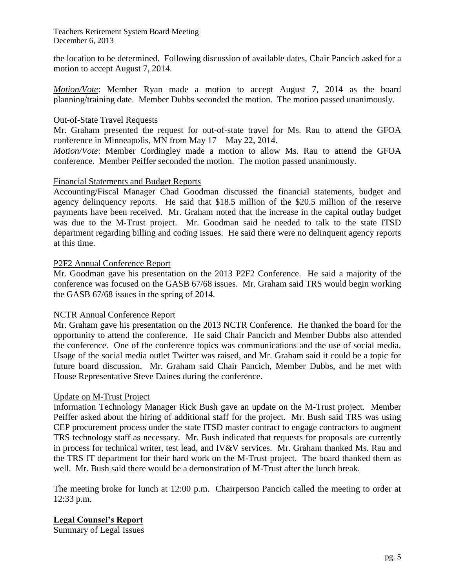the location to be determined. Following discussion of available dates, Chair Pancich asked for a motion to accept August 7, 2014.

*Motion/Vote*: Member Ryan made a motion to accept August 7, 2014 as the board planning/training date. Member Dubbs seconded the motion. The motion passed unanimously.

# Out-of-State Travel Requests

Mr. Graham presented the request for out-of-state travel for Ms. Rau to attend the GFOA conference in Minneapolis, MN from May 17 – May 22, 2014.

*Motion/Vote*: Member Cordingley made a motion to allow Ms. Rau to attend the GFOA conference. Member Peiffer seconded the motion. The motion passed unanimously.

# Financial Statements and Budget Reports

Accounting/Fiscal Manager Chad Goodman discussed the financial statements, budget and agency delinquency reports. He said that \$18.5 million of the \$20.5 million of the reserve payments have been received. Mr. Graham noted that the increase in the capital outlay budget was due to the M-Trust project. Mr. Goodman said he needed to talk to the state ITSD department regarding billing and coding issues. He said there were no delinquent agency reports at this time.

# P2F2 Annual Conference Report

Mr. Goodman gave his presentation on the 2013 P2F2 Conference. He said a majority of the conference was focused on the GASB 67/68 issues. Mr. Graham said TRS would begin working the GASB 67/68 issues in the spring of 2014.

# NCTR Annual Conference Report

Mr. Graham gave his presentation on the 2013 NCTR Conference. He thanked the board for the opportunity to attend the conference. He said Chair Pancich and Member Dubbs also attended the conference. One of the conference topics was communications and the use of social media. Usage of the social media outlet Twitter was raised, and Mr. Graham said it could be a topic for future board discussion. Mr. Graham said Chair Pancich, Member Dubbs, and he met with House Representative Steve Daines during the conference.

# Update on M-Trust Project

Information Technology Manager Rick Bush gave an update on the M-Trust project. Member Peiffer asked about the hiring of additional staff for the project. Mr. Bush said TRS was using CEP procurement process under the state ITSD master contract to engage contractors to augment TRS technology staff as necessary. Mr. Bush indicated that requests for proposals are currently in process for technical writer, test lead, and IV&V services. Mr. Graham thanked Ms. Rau and the TRS IT department for their hard work on the M-Trust project. The board thanked them as well. Mr. Bush said there would be a demonstration of M-Trust after the lunch break.

The meeting broke for lunch at 12:00 p.m. Chairperson Pancich called the meeting to order at 12:33 p.m.

# **Legal Counsel's Report**

Summary of Legal Issues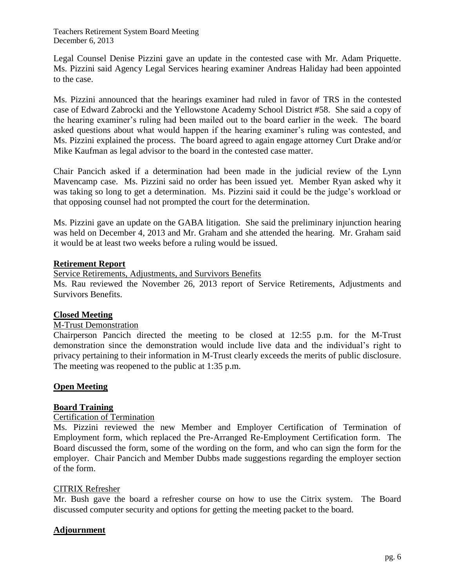Legal Counsel Denise Pizzini gave an update in the contested case with Mr. Adam Priquette. Ms. Pizzini said Agency Legal Services hearing examiner Andreas Haliday had been appointed to the case.

Ms. Pizzini announced that the hearings examiner had ruled in favor of TRS in the contested case of Edward Zabrocki and the Yellowstone Academy School District #58. She said a copy of the hearing examiner's ruling had been mailed out to the board earlier in the week. The board asked questions about what would happen if the hearing examiner's ruling was contested, and Ms. Pizzini explained the process. The board agreed to again engage attorney Curt Drake and/or Mike Kaufman as legal advisor to the board in the contested case matter.

Chair Pancich asked if a determination had been made in the judicial review of the Lynn Mavencamp case. Ms. Pizzini said no order has been issued yet. Member Ryan asked why it was taking so long to get a determination. Ms. Pizzini said it could be the judge's workload or that opposing counsel had not prompted the court for the determination.

Ms. Pizzini gave an update on the GABA litigation. She said the preliminary injunction hearing was held on December 4, 2013 and Mr. Graham and she attended the hearing. Mr. Graham said it would be at least two weeks before a ruling would be issued.

# **Retirement Report**

Service Retirements, Adjustments, and Survivors Benefits

Ms. Rau reviewed the November 26, 2013 report of Service Retirements, Adjustments and Survivors Benefits.

# **Closed Meeting**

# M-Trust Demonstration

Chairperson Pancich directed the meeting to be closed at 12:55 p.m. for the M-Trust demonstration since the demonstration would include live data and the individual's right to privacy pertaining to their information in M-Trust clearly exceeds the merits of public disclosure. The meeting was reopened to the public at 1:35 p.m.

# **Open Meeting**

# **Board Training**

# Certification of Termination

Ms. Pizzini reviewed the new Member and Employer Certification of Termination of Employment form, which replaced the Pre-Arranged Re-Employment Certification form. The Board discussed the form, some of the wording on the form, and who can sign the form for the employer. Chair Pancich and Member Dubbs made suggestions regarding the employer section of the form.

# CITRIX Refresher

Mr. Bush gave the board a refresher course on how to use the Citrix system. The Board discussed computer security and options for getting the meeting packet to the board.

# **Adjournment**